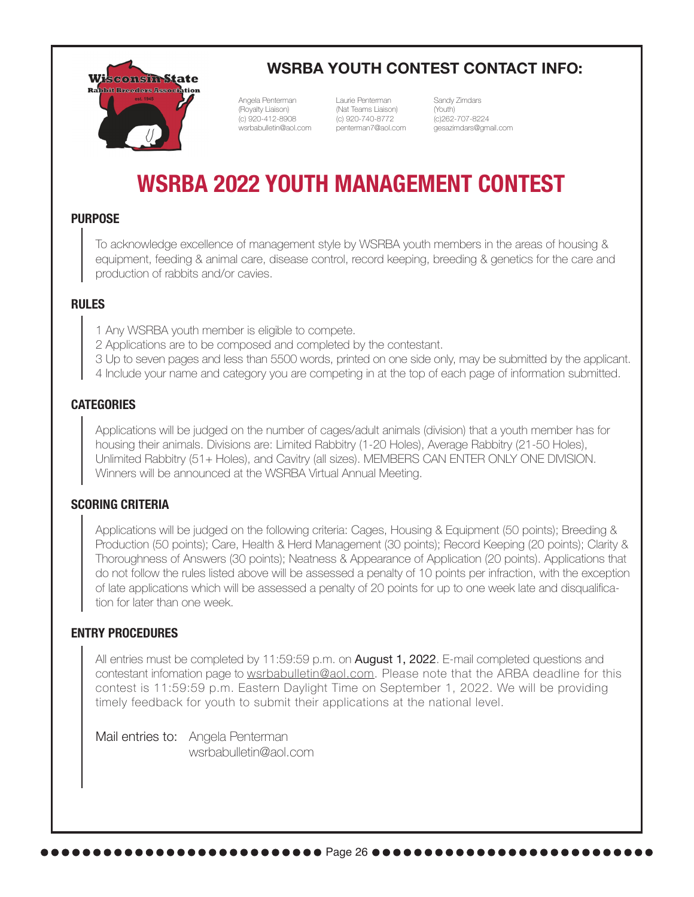

### **WSRBA YOUTH CONTEST CONTACT INFO:**

penterman7@aol.com wsrbabulletin@aol.com Angela Penterman (Royalty Liaison) (c) 920-412-8908

Laurie Penterman (Nat Teams Liaison) (c) 920-740-8772

Sandy Zimdars (Youth) (c)262-707-8224 gesazimdars@gmail.com

# **WSRBA 2022 YOUTH MANAGEMENT CONTEST**

#### **PURPOSE**

To acknowledge excellence of management style by WSRBA youth members in the areas of housing & equipment, feeding & animal care, disease control, record keeping, breeding & genetics for the care and production of rabbits and/or cavies.

### **RULES**

1 Any WSRBA youth member is eligible to compete.

2 Applications are to be composed and completed by the contestant.

3 Up to seven pages and less than 5500 words, printed on one side only, may be submitted by the applicant.

4 Include your name and category you are competing in at the top of each page of information submitted.

#### **CATEGORIES**

Applications will be judged on the number of cages/adult animals (division) that a youth member has for housing their animals. Divisions are: Limited Rabbitry (1-20 Holes), Average Rabbitry (21-50 Holes), Unlimited Rabbitry (51+ Holes), and Cavitry (all sizes). MEMBERS CAN ENTER ONLY ONE DIVISION. Winners will be announced at the WSRBA Virtual Annual Meeting.

### **SCORING CRITERIA**

Applications will be judged on the following criteria: Cages, Housing & Equipment (50 points); Breeding & Production (50 points); Care, Health & Herd Management (30 points); Record Keeping (20 points); Clarity & Thoroughness of Answers (30 points); Neatness & Appearance of Application (20 points). Applications that do not follow the rules listed above will be assessed a penalty of 10 points per infraction, with the exception of late applications which will be assessed a penalty of 20 points for up to one week late and disqualification for later than one week.

#### **ENTRY PROCEDURES**

All entries must be completed by 11:59:59 p.m. on **August 1, 2022**. E-mail completed questions and contestant infomation page to wsrbabulletin@aol.com. Please note that the ARBA deadline for this contest is 11:59:59 p.m. Eastern Daylight Time on September 1, 2022. We will be providing timely feedback for youth to submit their applications at the national level.

Mail entries to: Angela Penterman wsrbabulletin@aol.com